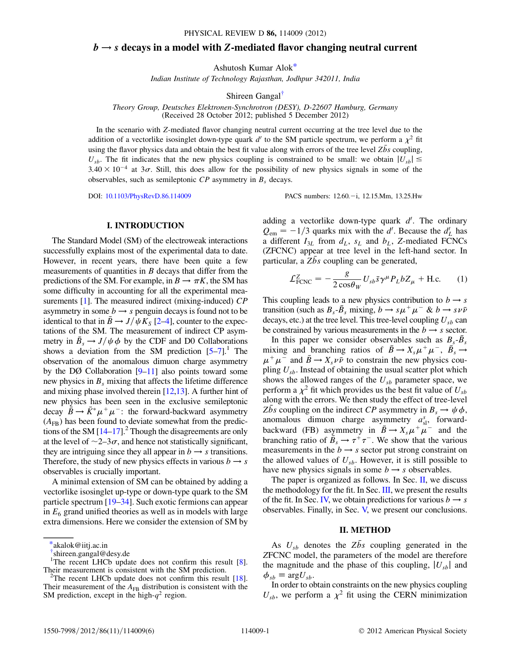## $b \rightarrow s$  decays in a model with Z-mediated flavor changing neutral current

Ashutosh Kumar Alok\*

Indian Institute of Technology Rajasthan, Jodhpur 342011, India

Shireen Gangal†

Theory Group, Deutsches Elektronen-Synchrotron (DESY), D-22607 Hamburg, Germany (Received 28 October 2012; published 5 December 2012)

In the scenario with Z-mediated flavor changing neutral current occurring at the tree level due to the addition of a vectorlike isosinglet down-type quark  $d'$  to the SM particle spectrum, we perform a  $\chi^2$  fit using the flavor physics data and obtain the best fit value along with errors of the tree level  $Z\bar{b}s$  coupling,  $U_{sb}$ . The fit indicates that the new physics coupling is constrained to be small: we obtain  $|U_{sb}| \leq$  $3.40 \times 10^{-4}$  at  $3\sigma$ . Still, this does allow for the possibility of new physics signals in some of the observables, such as semileptonic  $CP$  asymmetry in  $B_s$  decays.

DOI: 10.1103/PhysRevD.86.114009 PACS numbers: 12.60. - i, 12.15. Mm, 13.25. Hw

## I. INTRODUCTION

The Standard Model (SM) of the electroweak interactions successfully explains most of the experimental data to date. However, in recent years, there have been quite a few measurements of quantities in  $B$  decays that differ from the predictions of the SM. For example, in  $B \to \pi K$ , the SM has some difficulty in accounting for all the experimental measurements [1]. The measured indirect (mixing-induced) CP asymmetry in some  $b \rightarrow s$  penguin decays is found not to be identical to that in  $\bar{B} \to J/\psi K_S$  [2–4], counter to the expectations of the SM. The measurement of indirect CP asymmetry in  $\bar{B}_s \to J/\psi \phi$  by the CDF and D0 Collaborations shows a deviation from the SM prediction  $[5-7]$ .<sup>1</sup> The observation of the anomalous dimuon charge asymmetry by the DØ Collaboration  $[9-11]$  also points toward some new physics in  $B_s$  mixing that affects the lifetime difference and mixing phase involved therein [12,13]. A further hint of new physics has been seen in the exclusive semileptonic decay  $\bar{B} \to \bar{K}^* \mu^+ \mu^-$ : the forward-backward asymmetry  $(A<sub>FB</sub>)$  has been found to deviate somewhat from the predictions of the SM  $[14-17]$ .<sup>2</sup> Though the disagreements are only at the level of  $\sim$ 2–3 $\sigma$ , and hence not statistically significant, they are intriguing since they all appear in  $b \rightarrow s$  transitions. Therefore, the study of new physics effects in various  $b \rightarrow s$ observables is crucially important.

A minimal extension of SM can be obtained by adding a vectorlike isosinglet up-type or down-type quark to the SM particle spectrum [19–34]. Such exotic fermions can appear in  $E_6$  grand unified theories as well as in models with large extra dimensions. Here we consider the extension of SM by

adding a vectorlike down-type quark  $d'$ . The ordinary  $Q_{\text{em}} = -1/3$  quarks mix with the d'. Because the  $d'_L$  has a different  $I_{3L}$  from  $d_L$ ,  $s_L$  and  $b_L$ , Z-mediated FCNCs (ZFCNC) appear at tree level in the left-hand sector. In particular, a  $Z\bar{b}s$  coupling can be generated,

$$
\mathcal{L}^Z_{\text{FCNC}} = -\frac{g}{2\cos\theta_W} U_{sb} \bar{s} \gamma^\mu P_L b Z_\mu + \text{H.c.}
$$
 (1)

This coupling leads to a new physics contribution to  $b \rightarrow s$ transition (such as  $B_s$ - $\bar{B}_s$  mixing,  $b \rightarrow s\mu^+\mu^-$  &  $b \rightarrow s\nu\bar{\nu}$ decays, etc.) at the tree level. This tree-level coupling  $U_{sb}$  can be constrained by various measurements in the  $b \rightarrow s$  sector.

In this paper we consider observables such as  $B_s$ - $\bar{B}_s$ mixing and branching ratios of  $\bar{B} \to X_s \mu^+ \mu^-$ ,  $\bar{B_s} \to$  $\mu^+ \mu^-$  and  $\bar{B} \rightarrow X_s \nu \bar{\nu}$  to constrain the new physics coupling  $U_{sb}$ . Instead of obtaining the usual scatter plot which shows the allowed ranges of the  $U_{sb}$  parameter space, we perform a  $\chi^2$  fit which provides us the best fit value of  $U_{sb}$ along with the errors. We then study the effect of tree-level Zbs coupling on the indirect CP asymmetry in  $B_s \to \psi \phi$ , anomalous dimuon charge asymmetry  $a_{\rm sl}^s$ , forwardbackward (FB) asymmetry in  $\bar{B} \to X_s \mu^+ \mu^-$  and the branching ratio of  $\bar{B}_s \to \tau^+ \tau^-$ . We show that the various measurements in the  $b \rightarrow s$  sector put strong constraint on the allowed values of  $U_{sb}$ . However, it is still possible to have new physics signals in some  $b \rightarrow s$  observables.

The paper is organized as follows. In Sec. II, we discuss the methodology for the fit. In Sec. III, we present the results of the fit. In Sec. IV, we obtain predictions for various  $b \rightarrow s$ observables. Finally, in Sec. V, we present our conclusions.

## II. METHOD

As  $U_{sb}$  denotes the  $Z\bar{b}s$  coupling generated in the ZFCNC model, the parameters of the model are therefore the magnitude and the phase of this coupling,  $|U_{sb}|$  and  $\phi_{sb} \equiv \arg U_{sb}$ .

In order to obtain constraints on the new physics coupling  $U_{sb}$ , we perform a  $\chi^2$  fit using the CERN minimization

<sup>\*</sup>akalok@iitj.ac.in

<sup>†</sup> shireen.gangal@desy.de

<sup>&</sup>lt;sup>1</sup>The recent LHCb update does not confirm this result [8]. Their measurement is consistent with the SM prediction.

<sup>&</sup>lt;sup>2</sup>The recent LHCb update does not confirm this result [18]. Their measurement of the  $A_{FB}$  distribution is consistent with the SM prediction, except in the high- $q^2$  region.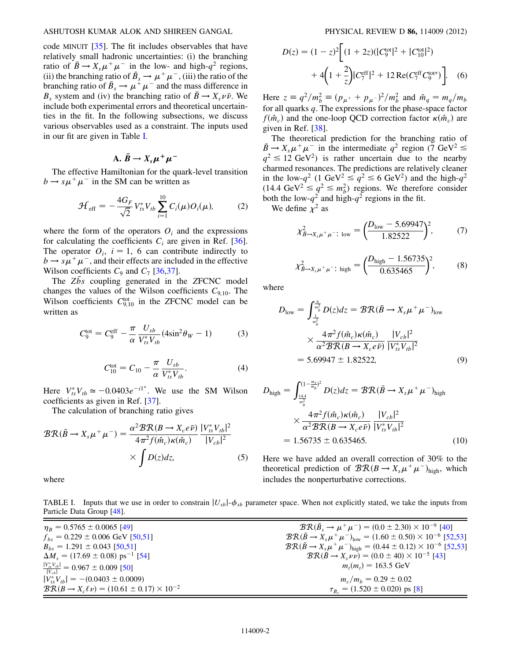#### ASHUTOSH KUMAR ALOK AND SHIREEN GANGAL PHYSICAL REVIEW D 86, 114009 (2012)

code MINUIT [35]. The fit includes observables that have relatively small hadronic uncertainties: (i) the branching ratio of  $\bar{B} \to X_s \mu^+ \mu^-$  in the low- and high- $q^2$  regions, (ii) the branching ratio of  $\bar{B}_s \to \mu^+ \mu^-$ , (iii) the ratio of the branching ratio of  $\bar{B}_s \to \mu^+ \mu^-$  and the mass difference in  $B_s$  system and (iv) the branching ratio of  $\bar{B} \to X_s \nu \bar{\nu}$ . We include both experimental errors and theoretical uncertainties in the fit. In the following subsections, we discuss various observables used as a constraint. The inputs used in our fit are given in Table I.

$$
A. \bar{B} \rightarrow X_s \mu^+ \mu^-
$$

The effective Hamiltonian for the quark-level transition  $b \rightarrow s\mu^{+}\mu^{-}$  in the SM can be written as

$$
\mathcal{H}_{\rm eff} = -\frac{4G_F}{\sqrt{2}} V_{ts}^* V_{tb} \sum_{i=1}^{10} C_i(\mu) O_i(\mu), \tag{2}
$$

where the form of the operators  $O_i$  and the expressions for calculating the coefficients  $C_i$  are given in Ref. [36]. The operator  $O_i$ ,  $i = 1, 6$  can contribute indirectly to  $b \rightarrow s\mu^{+}\mu^{-}$ , and their effects are included in the effective Wilson coefficients  $C_9$  and  $C_7$  [36,37].

The  $Z\bar{b}s$  coupling generated in the ZFCNC model changes the values of the Wilson coefficients  $C_{9,10}$ . The Wilson coefficients  $C_{9,10}^{tot}$  in the ZFCNC model can be written as

$$
C_9^{\text{tot}} = C_9^{\text{eff}} - \frac{\pi}{\alpha} \frac{U_{sb}}{V_{ts}^* V_{tb}} (4\sin^2 \theta_W - 1) \tag{3}
$$

$$
C_{10}^{\text{tot}} = C_{10} - \frac{\pi}{\alpha} \frac{U_{sb}}{V_{ts}^* V_{tb}}.
$$
 (4)

Here  $V_{ts}^* V_{tb} \simeq -0.0403 e^{-i1}$ °. We use the SM Wilson coefficients as given in Ref. [37].

The calculation of branching ratio gives

$$
BR(\bar{B} \to X_s \mu^+ \mu^-) = \frac{\alpha^2 BR(B \to X_c e \bar{\nu})}{4\pi^2 f(\hat{m}_c) \kappa(\hat{m}_c)} \frac{|V_{ts}^* V_{tb}|^2}{|V_{cb}|^2} \times \int D(z) dz,
$$
 (5)

where

$$
D(z) = (1 - z)^2 \left[ (1 + 2z)(|C_9^{\text{tot}}|^2 + |C_{10}^{\text{tot}}|^2) + 4\left(1 + \frac{2}{z}\right)|C_7^{\text{eff}}|^2 + 12 \operatorname{Re}(C_7^{\text{eff}} C_9^{\text{tot}})\right].
$$
 (6)

Here  $z \equiv q^2/m_b^2 \equiv (p_{\mu^+} + p_{\mu^-})^2/m_b^2$  and  $\hat{m}_q = m_q/m_b$ for all quarks q. The expressions for the phase-space factor  $f(\hat{m}_c)$  and the one-loop QCD correction factor  $\kappa(\hat{m}_c)$  are given in Ref. [38].

The theoretical prediction for the branching ratio of  $\bar{B} \to X_s \mu^+ \mu^-$  in the intermediate  $q^2$  region (7 GeV<sup>2</sup>  $\leq$  $q^2 \le 12 \text{ GeV}^2$ ) is rather uncertain due to the nearby charmed resonances. The predictions are relatively cleaner in the low- $q^2$  (1 GeV<sup>2</sup>  $\leq q^2 \leq 6$  GeV<sup>2</sup>) and the high- $q^2$  $(14.4 \text{ GeV}^2 \leq q^2 \leq m_b^2)$  regions. We therefore consider both the low- $q^2$  and high- $q^2$  regions in the fit. We define  $\chi^2$  as

$$
\chi^2_{\bar{B}\to X_s\mu^+\mu^- \colon \text{low}} = \left(\frac{D_{\text{low}} - 5.69947}{1.82522}\right)^2, \tag{7}
$$

$$
\chi_{\bar{B}\to X_s\mu^+\mu^-:\text{ high}}^2 = \left(\frac{D_{\text{high}} - 1.56735}{0.635465}\right)^2,\tag{8}
$$

where

$$
D_{\text{low}} = \int_{\frac{1}{m_b^2}}^{\frac{6}{m_b^2}} D(z) dz = \mathcal{BR}(\bar{B} \to X_s \mu^+ \mu^-)_{\text{low}}
$$
  

$$
\times \frac{4\pi^2 f(\hat{m}_c) \kappa(\hat{m}_c)}{\alpha^2 \mathcal{BR}(B \to X_c e \bar{\nu})} \frac{|V_{cb}|^2}{|V_{ts}^* V_{tb}|^2}
$$
  
= 5.69947 ± 1.82522, (9)

$$
D_{\text{high}} = \int_{\frac{144}{m_b^2}}^{(1 - \frac{m_s}{m_b})^2} D(z) dz = \mathcal{BR}(\bar{B} \to X_s \mu^+ \mu^-)_{\text{high}}
$$
  
 
$$
\times \frac{4\pi^2 f(\hat{m}_c) \kappa(\hat{m}_c)}{\alpha^2 \mathcal{BR}(B \to X_c e \bar{\nu})} \frac{|V_{cb}|^2}{|V_{ts}^* V_{tb}|^2}
$$
  
= 1.56735 ± 0.635465. (10)

Here we have added an overall correction of 30% to the theoretical prediction of  $\mathcal{BR}(B \to X_s\mu^+\mu^-)_{\text{high}}$ , which includes the nonperturbative corrections.

TABLE I. Inputs that we use in order to constrain  $|U_{sb}|$ - $\phi_{sb}$  parameter space. When not explicitly stated, we take the inputs from Particle Data Group [48].

| $\eta_B = 0.5765 \pm 0.0065$ [49]                                    | $\mathcal{BR}(\bar{B}_s \to \mu^+ \mu^-) = (0.0 \pm 2.30) \times 10^{-9}$ [40]                     |  |
|----------------------------------------------------------------------|----------------------------------------------------------------------------------------------------|--|
| $f_{bs} = 0.229 \pm 0.006$ GeV [50,51]                               | $\mathcal{BR}(\bar{B} \to X_s \mu^+ \mu^-)_{\text{low}} = (1.60 \pm 0.50) \times 10^{-6}$ [52,53]  |  |
| $B_{bs} = 1.291 \pm 0.043$ [50,51]                                   | $\mathcal{BR}(\bar{B} \to X_s \mu^+ \mu^-)_{\text{high}} = (0.44 \pm 0.12) \times 10^{-6}$ [52,53] |  |
| $\Delta M_s = (17.69 \pm 0.08) \text{ ps}^{-1}$ [54]                 | $BR(\bar{B} \to X_s \nu \nu) = (0.0 \pm 40) \times 10^{-5}$ [43]                                   |  |
| $\frac{ V_{ts}^*V_{tb} }{ V_{tb} }$ = 0.967 ± 0.009 [50]             | $m_t(m_t) = 163.5$ GeV                                                                             |  |
| $ V_{ts}^*V_{tb}  = -(0.0403 \pm 0.0009)$                            | $m_c/m_b = 0.29 \pm 0.02$                                                                          |  |
| $\mathcal{BR}(B \to X_c \ell \nu) = (10.61 \pm 0.17) \times 10^{-2}$ | $\tau_B = (1.520 \pm 0.020)$ ps [8]                                                                |  |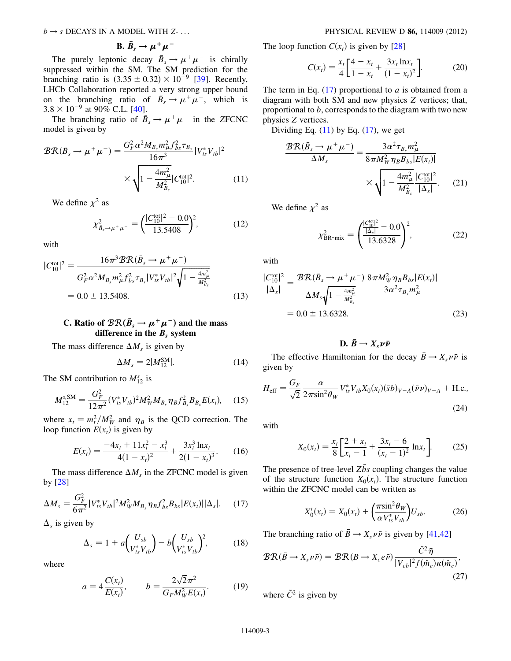$b \rightarrow s$  DECAYS IN A MODEL WITH Z-... PHYSICAL REVIEW D 86, 114009 (2012)

B. 
$$
\bar{B}_s \rightarrow \mu^+ \mu^-
$$

The purely leptonic decay  $\bar{B}_s \to \mu^+ \mu^-$  is chirally suppressed within the SM. The SM prediction for the branching ratio is  $(3.35 \pm 0.32) \times 10^{-9}$  [39]. Recently, LHCb Collaboration reported a very strong upper bound on the branching ratio of  $\bar{B}_s \to \mu^+ \mu^-$ , which is  $3.8 \times 10^{-9}$  at 90% C.L. [40].

The branching ratio of  $\bar{B}_s \to \mu^+ \mu^-$  in the ZFCNC model is given by

$$
BR(\bar{B}_s \to \mu^+ \mu^-) = \frac{G_F^2 \alpha^2 M_{B_s} m_\mu^2 f_{bs}^2 \tau_{B_s}}{16\pi^3} |V_{ts}^* V_{tb}|^2
$$

$$
\times \sqrt{1 - \frac{4m_\mu^2}{M_{B_s}^2} |C_{10}^{\text{tot}}|^2}.
$$
(11)

We define  $\chi^2$  as

$$
\chi^2_{\bar{B}_s \to \mu^+ \mu^-} = \left(\frac{|C_{10}^{\text{tot}}|^2 - 0.0}{13.5408}\right)^2, \tag{12}
$$

with

$$
|C_{10}^{\text{tot}}|^2 = \frac{16\pi^3 \mathcal{BR}(\bar{B}_s \to \mu^+ \mu^-)}{G_F^2 \alpha^2 M_{B_s} m_\mu^2 f_{bs}^2 \tau_{B_s} |V_{ts}^* V_{tb}|^2 \sqrt{1 - \frac{4m_\mu^2}{M_{B_s}^2}}}
$$
  
= 0.0 ± 13.5408. (13)

# C. Ratio of  $\mathcal{BR}(\bar{B}_s \to \mu^+ \mu^-)$  and the mass difference in the  $B_s$  system

The mass difference  $\Delta M_s$  is given by

$$
\Delta M_s = 2|M_{12}^{\rm SM}|. \tag{14}
$$

The SM contribution to  $M_{12}^s$  is

$$
M_{12}^{s,\text{SM}} = \frac{G_F^2}{12\pi^2} (V_{ts}^* V_{tb})^2 M_W^2 M_{B_s} \eta_B f_{B_s}^2 B_{B_s} E(x_t), \quad (15)
$$

where  $x_t = m_t^2/M_W^2$  and  $\eta_B$  is the QCD correction. The loop function  $E(x_t)$  is given by

$$
E(x_t) = \frac{-4x_t + 11x_t^2 - x_t^3}{4(1 - x_t)^2} + \frac{3x_t^3 \ln x_t}{2(1 - x_t)^3}.
$$
 (16)

The mass difference  $\Delta M_s$  in the ZFCNC model is given by [28]

$$
\Delta M_s = \frac{G_F^2}{6\pi^2} |V_{ts}^* V_{tb}|^2 M_W^2 M_{B_s} \eta_B f_{bs}^2 B_{bs} |E(x_t)| |\Delta_s|. \tag{17}
$$

 $\Delta_s$  is given by

$$
\Delta_{s} = 1 + a \left( \frac{U_{sb}}{V_{ts}^{*} V_{tb}} \right) - b \left( \frac{U_{sb}}{V_{ts}^{*} V_{tb}} \right)^{2}, \tag{18}
$$

where

$$
a = 4\frac{C(x_t)}{E(x_t)}, \qquad b = \frac{2\sqrt{2}\pi^2}{G_F M_W^2 E(x_t)}.
$$
 (19)

The loop function  $C(x_t)$  is given by [28]

$$
C(x_t) = \frac{x_t}{4} \left[ \frac{4 - x_t}{1 - x_t} + \frac{3x_t \ln x_t}{(1 - x_t)^2} \right].
$$
 (20)

The term in Eq.  $(17)$  proportional to a is obtained from a diagram with both SM and new physics Z vertices; that, proportional to b, corresponds to the diagram with two new physics Z vertices.

Dividing Eq.  $(11)$  by Eq.  $(17)$ , we get

$$
\frac{\mathcal{BR}(\bar{B}_s \to \mu^+ \mu^-)}{\Delta M_s} = \frac{3\alpha^2 \tau_{B_s} m_\mu^2}{8\pi M_W^2 \eta_B B_{bs} |E(x_t)|} \times \sqrt{1 - \frac{4m_\mu^2}{M_{B_s}^2} \frac{|C_{10}^{\text{tot}}|^2}{|\Delta_s|}}.
$$
 (21)

We define  $\chi^2$  as

$$
\chi_{\rm BR-mix}^2 = \left(\frac{|\mathcal{L}_{10}^{\rm col}|^2 - 0.0}{13.6328}\right)^2, \tag{22}
$$

with

$$
\frac{|C_{10}^{\text{tot}}|^2}{|\Delta_s|} = \frac{\mathcal{BR}(\bar{B}_s \to \mu^+ \mu^-)}{\Delta M_s \sqrt{1 - \frac{4m_\mu^2}{M_{B_s}^2}}} \frac{8\pi M_W^2 \eta_B B_{bs} |E(x_t)|}{3\alpha^2 \tau_{B_s} m_\mu^2}
$$
  
= 0.0 ± 13.6328. (23)

D.  $\bar{B} \to X_s \nu \bar{\nu}$ 

The effective Hamiltonian for the decay  $\bar{B} \to X_s \nu \bar{\nu}$  is given by

$$
H_{\rm eff} = \frac{G_F}{\sqrt{2}} \frac{\alpha}{2\pi \sin^2 \theta_W} V_{ts}^* V_{tb} X_0(x_t) (\bar{s}b)_{V-A} (\bar{\nu} \nu)_{V-A} + \text{H.c.},
$$
\n(24)

with

$$
X_0(x_t) = \frac{x_t}{8} \left[ \frac{2 + x_t}{x_t - 1} + \frac{3x_t - 6}{(x_t - 1)^2} \ln x_t \right].
$$
 (25)

The presence of tree-level  $Z\bar{b}s$  coupling changes the value of the structure function  $X_0(x_t)$ . The structure function within the ZFCNC model can be written as

$$
X'_{0}(x_{t}) = X_{0}(x_{t}) + \left(\frac{\pi \sin^{2} \theta_{W}}{\alpha V_{ts}^{*} V_{tb}}\right) U_{sb}.
$$
 (26)

The branching ratio of  $\bar{B} \to X_s \nu \bar{\nu}$  is given by [41,42]

$$
\mathcal{BR}(\bar{B} \to X_s \nu \bar{\nu}) = \mathcal{BR}(B \to X_c e \bar{\nu}) \frac{\tilde{C}^2 \bar{\eta}}{|V_{cb}|^2 f(\hat{m}_c) \kappa(\hat{m}_c)},
$$
\n(27)

where  $\tilde{C}^2$  is given by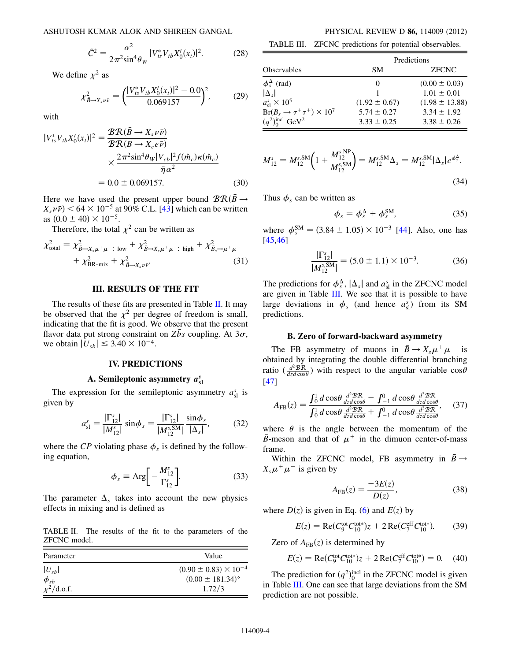ASHUTOSH KUMAR ALOK AND SHIREEN GANGAL PHYSICAL REVIEW D 86, 114009 (2012)

$$
\tilde{C}^2 = \frac{\alpha^2}{2\pi^2 \sin^4 \theta_W} |V_{ts}^* V_{tb} X_0'(x_t)|^2.
$$
 (28)

We define  $\chi^2$  as

$$
\chi^2_{\bar{B}\to X_s\nu\bar{\nu}} = \left(\frac{|V_{ts}^*V_{tb}X_0'(x_t)|^2 - 0.0}{0.069157}\right)^2,\tag{29}
$$

with

$$
|V_{ts}^* V_{tb} X_0'(x_t)|^2 = \frac{\mathcal{BR}(\bar{B} \to X_s \nu \bar{\nu})}{\mathcal{BR}(B \to X_c e \bar{\nu})} \times \frac{2\pi^2 \sin^4 \theta_W |V_{cb}|^2 f(\hat{m}_c) \kappa(\hat{m}_c)}{\bar{\eta} \alpha^2} = 0.0 \pm 0.069157.
$$
 (30)

Here we have used the present upper bound  $BR(B \rightarrow$  $X_s \nu \bar{\nu}$   $> 64 \times 10^{-5}$  at 90% C.L. [43] which can be written as  $(0.0 \pm 40) \times 10^{-5}$ .

Therefore, the total  $\chi^2$  can be written as

$$
\chi_{\text{total}}^2 = \chi_{\bar{B}\to X_s\mu^+\mu^-}^2; \text{ low} + \chi_{\bar{B}\to X_s\mu^+\mu^-}^2; \text{ high} + \chi_{\bar{B}_s\to\mu^+\mu^-}^2 + \chi_{\text{BR-mix}}^2 + \chi_{\bar{B}\to X_s\nu\bar{\nu}}^2.
$$
 (31)

## III. RESULTS OF THE FIT

The results of these fits are presented in Table II. It may be observed that the  $\chi^2$  per degree of freedom is small, indicating that the fit is good. We observe that the present flavor data put strong constraint on  $Z\bar{b}s$  coupling. At  $3\sigma$ , we obtain  $|U_{sb}| \le 3.40 \times 10^{-4}$ .

## IV. PREDICTIONS

## A. Semileptonic asymmetry  $a_{sl}^s$

The expression for the semileptonic asymmetry  $a_{sl}^s$  is given by

$$
a_{\rm sl}^s = \frac{|\Gamma_{12}^s|}{|M_{12}^s|} \sin \phi_s = \frac{|\Gamma_{12}^s|}{|M_{12}^{s,\rm SM}|} \frac{\sin \phi_s}{|\Delta_s|},\tag{32}
$$

where the CP violating phase  $\phi_s$  is defined by the following equation,

$$
\phi_s \equiv \text{Arg}\bigg[-\frac{M_{12}^s}{\Gamma_{12}^s}\bigg].\tag{33}
$$

The parameter  $\Delta_s$  takes into account the new physics effects in mixing and is defined as

TABLE II. The results of the fit to the parameters of the ZFCNC model.

| Parameter                                | Value                            |
|------------------------------------------|----------------------------------|
| $ U_{sb} $                               | $(0.90 \pm 0.83) \times 10^{-4}$ |
|                                          | $(0.00 \pm 181.34)$ °            |
| $\frac{\phi_{sb}}{\chi^2/\text{d.o.f.}}$ | 1.72/3                           |

TABLE III. ZFCNC predictions for potential observables.

| <b>Observables</b>                      | Predictions       |                    |  |
|-----------------------------------------|-------------------|--------------------|--|
|                                         | <b>SM</b>         | <b>ZFCNC</b>       |  |
| $\phi_s^{\Delta}$ (rad)                 | 0                 | $(0.00 \pm 0.03)$  |  |
| $ \Delta_{s} $                          |                   | $1.01 \pm 0.01$    |  |
| $a_{\rm sl}^s \times 10^5$              | $(1.92 \pm 0.67)$ | $(1.98 \pm 13.88)$ |  |
| $Br(B_s \to \tau^+ \tau^+) \times 10^7$ | $5.74 \pm 0.27$   | $3.34 \pm 1.92$    |  |
| $(q^2)$ <sup>ncl</sup> GeV <sup>2</sup> | $3.33 \pm 0.25$   | $3.38 \pm 0.26$    |  |

$$
M_{12}^{s} = M_{12}^{s, \text{SM}} \bigg( 1 + \frac{M_{12}^{s, \text{NP}}}{M_{12}^{s, \text{SM}}} \bigg) = M_{12}^{s, \text{SM}} \Delta_{s} = M_{12}^{s, \text{SM}} |\Delta_{s}| e^{\phi_{s}^{\Delta}}.
$$
\n(34)

Thus  $\phi_s$  can be written as

$$
\phi_s = \phi_s^{\Delta} + \phi_s^{SM}, \tag{35}
$$

where  $\phi_s^{\text{SM}} = (3.84 \pm 1.05) \times 10^{-3}$  [44]. Also, one has [45,46]

$$
\frac{|\Gamma_{12}^s|}{|M_{12}^{s,\text{SM}}|} = (5.0 \pm 1.1) \times 10^{-3}.
$$
 (36)

The predictions for  $\phi_s^{\Delta}$ ,  $|\Delta_s|$  and  $a_{sl}^s$  in the ZFCNC model are given in Table III. We see that it is possible to have large deviations in  $\phi_s$  (and hence  $a_{sl}^s$ ) from its SM predictions.

#### B. Zero of forward-backward asymmetry

The FB asymmetry of muons in  $\bar{B} \to X_s \mu^+ \mu^-$  is obtained by integrating the double differential branching ratio ( $\frac{d^2 \mathcal{B} \mathcal{R}}{dz d \cos \theta}$  $\frac{d^2 B}{dz d\cos\theta}$ ) with respect to the angular variable  $\cos\theta$ [47]

$$
A_{\rm FB}(z) = \frac{\int_0^1 d\cos\theta \frac{d^2 \mathcal{B} \mathcal{R}}{dz d\cos\theta} - \int_{-1}^0 d\cos\theta \frac{d^2 \mathcal{B} \mathcal{R}}{dz d\cos\theta}}{\int_0^1 d\cos\theta \frac{d^2 \mathcal{B} \mathcal{R}}{dz d\cos\theta} + \int_{-1}^0 d\cos\theta \frac{d^2 \mathcal{B} \mathcal{R}}{dz d\cos\theta}},\tag{37}
$$

where  $\theta$  is the angle between the momentum of the B-meson and that of  $\mu^+$  in the dimuon center-of-mass frame.

Within the ZFCNC model, FB asymmetry in  $\bar{B} \rightarrow$  $X_s\mu^+\mu^-$  is given by

$$
A_{\rm FB}(z) = \frac{-3E(z)}{D(z)},
$$
\n(38)

where  $D(z)$  is given in Eq. (6) and  $E(z)$  by

$$
E(z) = \text{Re}(C_9^{\text{tot}}C_{10}^{\text{tot*}})z + 2\,\text{Re}(C_7^{\text{eff}}C_{10}^{\text{tot*}}). \tag{39}
$$

Zero of  $A_{FB}(z)$  is determined by

$$
E(z) = \text{Re}(C_9^{\text{tot}} C_{10}^{\text{tot*}})z + 2 \text{Re}(C_7^{\text{eff}} C_{10}^{\text{tot*}}) = 0. \quad (40)
$$

The prediction for  $(q^2)_{0}^{\text{incl}}$  in the ZFCNC model is given in Table III. One can see that large deviations from the SM prediction are not possible.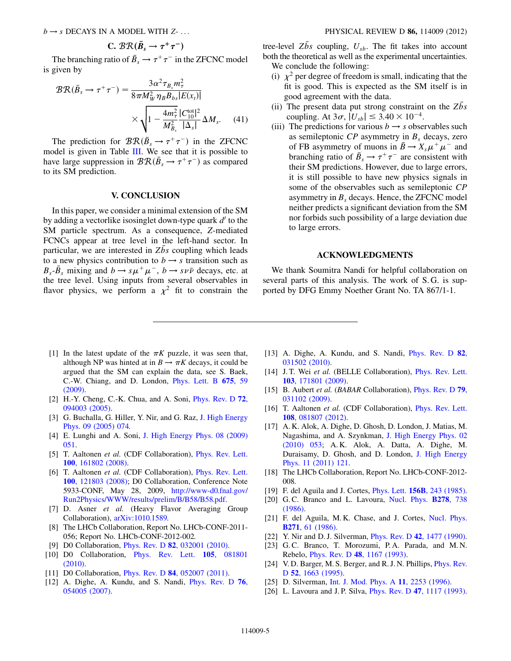C. 
$$
\mathcal{BR}(\bar{B}_s \to \tau^+ \tau^-)
$$

The branching ratio of  $\bar{B}_s \to \tau^+ \tau^-$  in the ZFCNC model is given by

$$
BR(\bar{B}_s \to \tau^+ \tau^-) = \frac{3\alpha^2 \tau_{B_s} m_\tau^2}{8\pi M_W^2 \eta_B B_{bs} |E(x_t)|} \times \sqrt{1 - \frac{4m_\tau^2}{M_{B_s}^2} \frac{|C_{10}^{\text{tot}}|^2}{|\Delta_s|} \Delta M_s}.
$$
 (41)

The prediction for  $\mathcal{BR}(\bar{B}_s \to \tau^+\tau^-)$  in the ZFCNC model is given in Table III. We see that it is possible to have large suppression in  $\mathcal{BR}(\bar{B}_s \to \tau^+ \tau^-)$  as compared to its SM prediction.

## V. CONCLUSION

In this paper, we consider a minimal extension of the SM by adding a vectorlike isosinglet down-type quark  $d'$  to the SM particle spectrum. As a consequence, Z-mediated FCNCs appear at tree level in the left-hand sector. In particular, we are interested in Zbs coupling which leads to a new physics contribution to  $b \rightarrow s$  transition such as  $B_s$ - $\bar{B}_s$  mixing and  $b \rightarrow s\mu^+\mu^-$ ,  $b \rightarrow s\nu\bar{\nu}$  decays, etc. at the tree level. Using inputs from several observables in flavor physics, we perform a  $\chi^2$  fit to constrain the tree-level  $Z\bar{b}s$  coupling,  $U_{sb}$ . The fit takes into account both the theoretical as well as the experimental uncertainties. We conclude the following:

- (i)  $\chi^2$  per degree of freedom is small, indicating that the fit is good. This is expected as the SM itself is in good agreement with the data.
- (ii) The present data put strong constraint on the Zbs coupling. At  $3\sigma$ ,  $|U_{sb}| \leq 3.40 \times 10^{-4}$ .
- (iii) The predictions for various  $b \rightarrow s$  observables such as semileptonic  $CP$  asymmetry in  $B_s$  decays, zero of FB asymmetry of muons in  $\bar{B} \to X_s \mu^+ \mu^-$  and branching ratio of  $\bar{B}_s \rightarrow \tau^+ \tau^-$  are consistent with their SM predictions. However, due to large errors, it is still possible to have new physics signals in some of the observables such as semileptonic CP asymmetry in  $B_s$  decays. Hence, the ZFCNC model neither predicts a significant deviation from the SM nor forbids such possibility of a large deviation due to large errors.

## ACKNOWLEDGMENTS

We thank Soumitra Nandi for helpful collaboration on several parts of this analysis. The work of S. G. is supported by DFG Emmy Noether Grant No. TA 867/1-1.

- [1] In the latest update of the  $\pi K$  puzzle, it was seen that, although NP was hinted at in  $B \to \pi K$  decays, it could be argued that the SM can explain the data, see S. Baek, C.-W. Chiang, and D. London, Phys. Lett. B 675, 59 (2009).
- [2] H.-Y. Cheng, C.-K. Chua, and A. Soni, Phys. Rev. D 72, 094003 (2005).
- [3] G. Buchalla, G. Hiller, Y. Nir, and G. Raz, J. High Energy Phys. 09 (2005) 074.
- [4] E. Lunghi and A. Soni, J. High Energy Phys. 08 (2009) 051.
- [5] T. Aaltonen et al. (CDF Collaboration), Phys. Rev. Lett. 100, 161802 (2008).
- [6] T. Aaltonen et al. (CDF Collaboration), Phys. Rev. Lett. 100, 121803 (2008); D0 Collaboration, Conference Note 5933-CONF, May 28, 2009, http://www-d0.fnal.gov/ Run2Physics/WWW/results/prelim/B/B58/B58.pdf.
- [7] D. Asner et al. (Heavy Flavor Averaging Group Collaboration), arXiv:1010.1589.
- [8] The LHCb Collaboration, Report No. LHCb-CONF-2011-056; Report No. LHCb-CONF-2012-002.
- [9] D0 Collaboration, Phys. Rev. D 82, 032001 (2010).
- [10] D0 Collaboration, Phys. Rev. Lett. 105, 081801 (2010).
- [11] D0 Collaboration, *Phys. Rev. D 84, 052007 (2011).*
- [12] A. Dighe, A. Kundu, and S. Nandi, Phys. Rev. D 76, 054005 (2007).
- [13] A. Dighe, A. Kundu, and S. Nandi, *Phys. Rev. D* 82, 031502 (2010).
- [14] J. T. Wei et al. (BELLE Collaboration), Phys. Rev. Lett. 103, 171801 (2009).
- [15] B. Aubert et al. (BABAR Collaboration), *Phys. Rev. D* 79, 031102 (2009).
- [16] T. Aaltonen et al. (CDF Collaboration), Phys. Rev. Lett. 108, 081807 (2012).
- [17] A. K. Alok, A. Dighe, D. Ghosh, D. London, J. Matias, M. Nagashima, and A. Szynkman, J. High Energy Phys. 02 (2010) 053; A. K. Alok, A. Datta, A. Dighe, M. Duraisamy, D. Ghosh, and D. London, J. High Energy Phys. 11 (2011) 121.
- [18] The LHCb Collaboration, Report No. LHCb-CONF-2012- 008.
- [19] F. del Aguila and J. Cortes, *Phys. Lett.* **156B**, 243 (1985).
- [20] G.C. Branco and L. Lavoura, Nucl. Phys. **B278**, 738 (1986).
- [21] F. del Aguila, M. K. Chase, and J. Cortes, Nucl. Phys. B271, 61 (1986).
- [22] Y. Nir and D. J. Silverman, *Phys. Rev. D* **42**, 1477 (1990).
- [23] G.C. Branco, T. Morozumi, P.A. Parada, and M.N. Rebelo, Phys. Rev. D 48, 1167 (1993).
- [24] V.D. Barger, M.S. Berger, and R.J.N. Phillips, *Phys. Rev.* D 52, 1663 (1995).
- [25] D. Silverman, Int. J. Mod. Phys. A 11, 2253 (1996).
- [26] L. Lavoura and J.P. Silva, *Phys. Rev. D* 47, 1117 (1993).